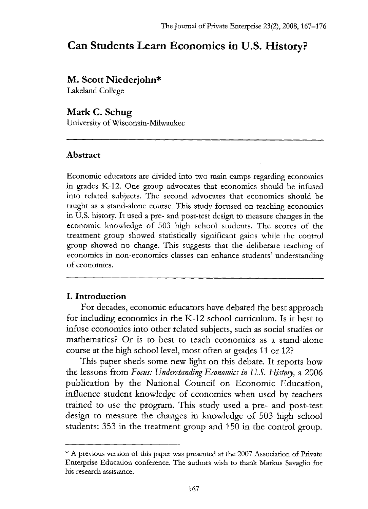# **Can Students Learn Economics in U.S. History?**

## **M. Scott Niederjohn\***

Lakeland College

## **Mark C. Schug**

University of Wisconsin-Milwaukee

## **Abstract**

Economic educators are divided into two main camps regarding economics in grades K-12. One group advocates that economics should be infused into related subjects. The second advocates that economics should be taught as a stand-alone course. This study focused on teaching economics in U.S. history. It used a pre- and post-test design to measure changes in the economic knowledge of 503 high school students. The scores of the treatment group showed statistically significant gains while the control group showed no change. This suggests that the deliberate teaching of economics in non-economics classes can enhance students' understanding of economics.

## **I. Introduction**

For decades, economic educators have debated the best approach for including economics in the K-12 school curriculum. Is it best to infuse economics into other related subjects, such as social studies or mathematics? Or is to best to teach economics as a stand-alone course at the high school level, most often at grades 11 or 12?

This paper sheds some new light on this debate. It reports how the lessons from *Focus: Understanding Economics in U.S. History*, a 2006 publication by the National Council on Economic Education, influence student knowledge of economics when used by teachers trained to use the program. This study used a pre- and post-test design to measure the changes in knowledge of 503 high school students: 353 in the treatment group and 150 in the control group.

<sup>\*</sup> A previous version of this paper was presented at the 2007 Association of Private Enterprise Education conference. The authors wish to thank Markus Savaglio for his research assistance.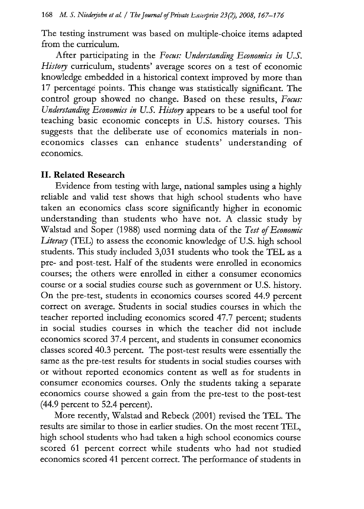The testing instrument was based on multiple-choice items adapted from the curriculum.

After participating in the *Focus: Understanding Economics in U.S.* History curriculum, students' average scores on a test of economic knowledge embedded in a historical context improved by more than 17 percentage points. This change was statistically significant. The control group showed no change. Based on these results, *Focus: Understanding Economics in U.S. History* appears to be a useful tool for teaching basic economic concepts in U.S. history courses. This suggests that the deliberate use of economics materials in noneconomics classes can enhance students' understanding of economics.

#### **II. Related Research**

Evidence from testing with large, national samples using a highly reliable and valid test shows that high school students who have taken an economics class score significantly higher in economic understanding than students who have not. A classic study by Walstad and Soper (1988) used norming data of the *Test of Economic Literacy* (TEL) to assess the economic knowledge of U.S. high school students. This study included 3,031 students who took the TEL as a pre- and post-test. Half of the students were enrolled in economics courses; the others were enrolled in either a consumer economics course or a social studies course such as government or U.S. history. On the pre-test, students in economics courses scored 44.9 percent correct on average. Students in social studies courses in which the teacher reported including economics scored 47.7 percent; students in social studies courses in which the teacher did not include economics scored 37.4 percent, and students in consumer economics classes scored 40.3 percent. The post-test results were essentially the same as the pre-test results for students in social studies courses with or without reported economics content as well as for students in consumer economics courses. Only the students taking a separate economics course showed a gain from the pre-test to the post-test (44.9 percent to 52.4 percent).

More recently, Walstad and Rebeck (2001) revised the TEL. The results are similar to those in earlier studies. On the most recent TEL, high school students who had taken a high school economics course scored 61 percent correct while students who had not studied economics scored 41 percent correct. The performance of students in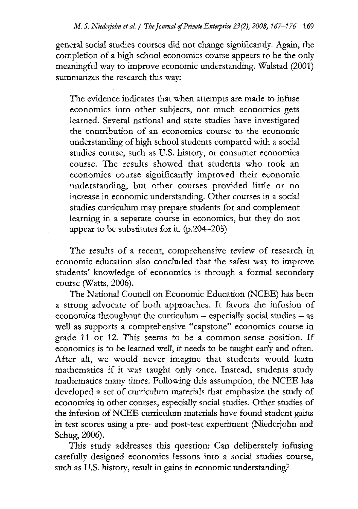general social studies courses did not change significantly. Again, the completion of a high school economics course appears to be the only meaningful way to improve economic understanding. Walstad (2001) summarizes the research this way:

The evidence indicates that when attempts are made to infuse economics into other subjects, not much economics gets learned. Several national and state studies have investigated the contribution of an economics course to the economic understanding of high school students compared with a social studies course, such as U.S. history, or consumer economics course. The results showed that students who took an economics course significantly improved their economic understanding, but other courses provided little or no increase in economic understanding. Other courses in a social studies curriculum may prepare students for and complement learning in a separate course in economics, but they do not appear to be substitutes for it. (p.204-205)

The results of a recent, comprehensive review of research in economic education also concluded that the safest way to improve students' knowledge of economics is through a formal secondary course (Watts, 2006).

The National Council on Economic Education (NCEE) has been a strong advocate of both approaches. It favors the infusion of economics throughout the curriculum — especially social studies — as well as supports a comprehensive "capstone" economics course in grade 11 or 12. This seems to be a common-sense position. If economics is to be learned well, it needs to be taught early and often. After all, we would never imagine that students would learn mathematics if it was taught only once. Instead, students study mathematics many times. Following this assumption, the NCEE has developed a set of curriculum materials that emphasize the study of economics in other courses, especially social studies. Other studies of the infusion of NCEE curriculum materials have found student gains in test scores using a pre- and post-test experiment (Niederjohn and Schug, 2006).

This study addresses this question: Can deliberately infusing carefully designed economics lessons into a social studies course, such as U.S. history, result in gains in economic understanding?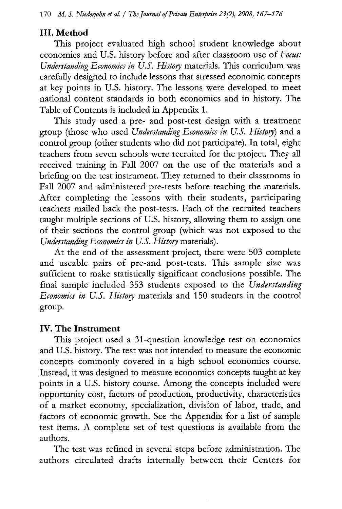#### **III. Method**

This project evaluated high school student knowledge about economics and U.S. history before and after classroom use of *Focus:* Understanding *Economics in U.S. History* materials. This curriculum was carefully designed to include lessons that stressed economic concepts at key points in U.S. history. The lessons were developed to meet national content standards in both economics and in history. The Table of Contents is included in Appendix 1.

This study used a pre- and post-test design with a treatment group (those who used *Understanding Economics in U.S. Histog)* and a control group (other students who did not participate). In total, eight teachers from seven schools were recruited for the project. They all received training in Fall 2007 on the use of the materials and a briefing on the test instrument. They returned to their classrooms in Fall 2007 and administered pre-tests before teaching the materials. After completing the lessons with their students, participating teachers mailed back the post-tests. Each of the recruited teachers taught multiple sections of U.S. history, allowing them to assign one of their sections the control group (which was not exposed to the *Understanding Economics in U.S. History* materials).

At the end of the assessment project, there were 503 complete and useable pairs of pre-and post-tests. This sample size was sufficient to make statistically significant conclusions possible. The final sample included 353 students exposed to the *Understanding Economics in U.S. Histog* materials and 150 students in the control group.

#### **IV. The Instrument**

This project used a 31-question knowledge test on economics and U.S. history. The test was not intended to measure the economic concepts commonly covered in a high school economics course. Instead, it was designed to measure economics concepts taught at key points in a U.S. history course. Among the concepts included were opportunity cost, factors of production, productivity, characteristics of a market economy, specialization, division of labor, trade, and factors of economic growth. See the Appendix for a list of sample test items. A complete set of test questions is available from the authors.

The test was refined in several steps before administration. The authors circulated drafts internally between their Centers for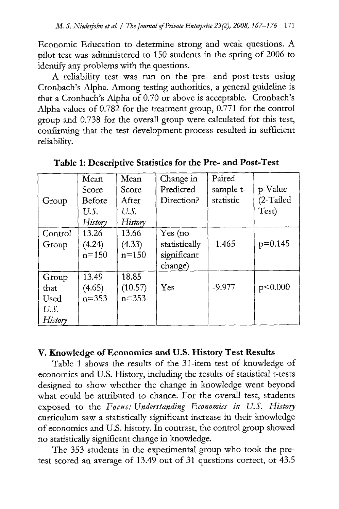Economic Education to determine strong and weak questions. A pilot test was administered to 150 students in the spring of 2006 to identify any problems with the questions.

A reliability test was run on the pre- and post-tests using Cronbach's Alpha. Among testing authorities, a general guideline is that a Cronbach's Alpha of 0.70 or above is acceptable. Cronbach's Alpha values of 0.782 for the treatment group, 0.771 for the control group and 0.738 for the overall group were calculated for this test, confirming that the test development process resulted in sufficient reliability.

|         | Mean      | Mean      | Change in     | Paired    |           |
|---------|-----------|-----------|---------------|-----------|-----------|
|         | Score     | Score     | Predicted     | sample t- | p-Value   |
| Group   | Before    | After     | Direction?    | statistic | (2-Tailed |
|         | U.S.      | U.S.      |               |           | Test)     |
|         | History   | History   |               |           |           |
| Control | 13.26     | 13.66     | Yes (no       |           |           |
| Group   | (4.24)    | (4.33)    | statistically | $-1.465$  | $p=0.145$ |
|         | $n = 150$ | $n = 150$ | significant   |           |           |
|         |           |           | change)       |           |           |
| Group   | 13.49     | 18.85     |               |           |           |
| that    | (4.65)    | (10.57)   | Yes           | $-9.977$  | p<0.000   |
| Used    | $n = 353$ | $n = 353$ |               |           |           |
| U.S.    |           |           |               |           |           |
| History |           |           |               |           |           |

**Table 1: Descriptive Statistics for the Pre- and Post-Test**

## **V. Knowledge of Economics and U.S. History Test Results**

Table 1 shows the results of the 31-item test of knowledge of economics and U.S. History, including the results of statistical t-tests designed to show whether the change in knowledge went beyond what could be attributed to chance. For the overall test, students exposed to the *Focus: Understanding Economics in U.S . Histog* curriculum saw a statistically significant increase in their knowledge of economics and U.S. history. In contrast, the control group showed no statistically significant change in knowledge.

The 353 students in the experimental group who took the pretest scored an average of 13.49 out of 31 questions correct, or 43.5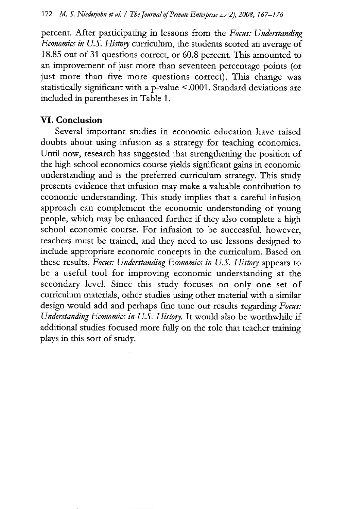percent. After participating in lessons from the *Focus: Understanding Economics in U.S. History* curriculum, the students scored an average of 18.85 out of 31 questions correct, or 60.8 percent. This amounted to an improvement of just more than seventeen percentage points (or just more than five more questions correct). This change was statistically significant with a p-value <.0001. Standard deviations are included in parentheses in Table 1.

## **VI. Conclusion**

Several important studies in economic education have raised doubts about using infusion as a strategy for teaching economics. Until now, research has suggested that strengthening the position of the high school economics course yields significant gains in economic understanding and is the preferred curriculum strategy. This study presents evidence that infusion may make a valuable contribution to economic understanding. This study implies that a careful infusion approach can complement the economic understanding of young people, which may be enhanced further if they also complete a high school economic course. For infusion to be successful, however, teachers must be trained, and they need to use lessons designed to include appropriate economic concepts in the curriculum. Based on these results, *Focus: Understanding Economics in U.S. History* appears to be a useful tool for improving economic understanding at the secondary level. Since this study focuses on only one set of curriculum materials, other studies using other material with a similar design would add and perhaps fine tune our results regarding *Focus:* Understanding Economics in U.S. History. It would also be worthwhile if additional studies focused more fully on the role that teacher training plays in this sort of study.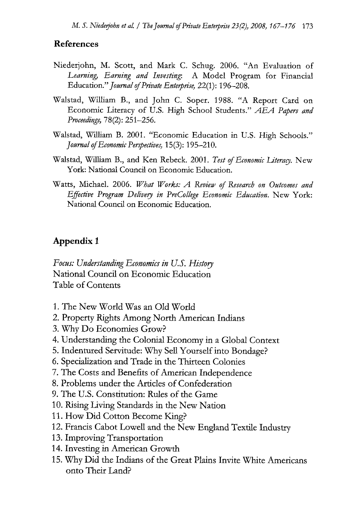#### **References**

- Niederjohn, M. Scott, and Mark C. Schug. 2006. "An Evaluation of *Learning, Earning and Investing:* A Model Program for Financial Education." *Journal of Private Entoprise,* 22(1): 196-208.
- Walstad, William B., and John C. Soper. 1988. "A Report Card on Economic Literacy of U.S. High School Students." *AEA Papers and Proceedings,* 78(2): 251-256.
- Walstad, William B. 2001. "Economic Education in U.S. High Schools." *Journal of Economic Perspectives,* 15(3): 195-210.
- Walstad, William B., and Ken Rebeck. 2001. *Test of Economic Literag.* New York: National Council on Economic Education.
- Watts, Michael. 2006. *What Works: A Review of Research on Outcomes and Effective Program Deliveg in PreCollege Economic Education.* New York: National Council on Economic Education.

## **Appendix 1**

*Focus: Understanding Economics in U.S. Hirtog* National Council on Economic Education Table of Contents

- 1.The New World Was an Old World
- 2. Property Rights Among North American Indians
- 3.Why Do Economies Grow?
- 4. Understanding the Colonial Economy in a Global Context
- 5. Indentured Servitude: Why Sell Yourself into Bondage?
- 6. Specialization and Trade in the Thirteen Colonies
- 7. The Costs and Benefits of American Independence
- 8. Problems under the Articles of Confederation
- 9. The U.S. Constitution: Rules of the Game
- 10.Rising Living Standards in the New Nation
- 11.How Did Cotton Become King?
- 12.Francis Cabot Lowell and the New England Textile Industry
- 13.Improving Transportation
- 14.Investing in American Growth
- 15.Why Did the Indians of the Great Plains Invite White Americans onto Their Land?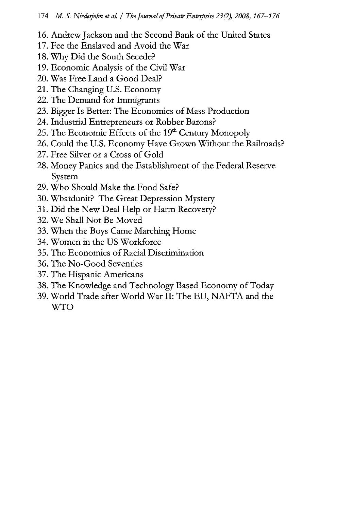- 16.Andrew Jackson and the Second Bank of the United States
- 17.Fee the Enslaved and Avoid the War
- 18.Why Did the South Secede?
- 19.Economic Analysis of the Civil War
- 20.Was Free Land a Good Deal?
- 21.The Changing U.S. Economy
- 22.The Demand for Immigrants
- 23.Bigger Is Better: The Economics of Mass Production
- 24. Industrial Entrepreneurs or Robber Barons?
- 25. The Economic Effects of the 19<sup>th</sup> Century Monopoly
- 26. Could the U.S. Economy Have Grown Without the Railroads?
- 27. Free Silver or a Cross of Gold
- 28. Money Panics and the Establishment of the Federal Reserve System
- 29.Who Should Make the Food Safe?
- 30.Whatdunit? The Great Depression Mystery
- 31. Did the New Deal Help or Harm Recovery?
- 32.We Shall Not Be Moved
- 33.When the Boys Came Marching Home
- 34.Women in the US Workforce
- 35.The Economics of Racial Discrimination
- 36.The No-Good Seventies
- 37.The Hispanic Americans
- 38.The Knowledge and Technology Based Economy of Today
- 39.World Trade after World War II: The EU, NAFTA and the WTO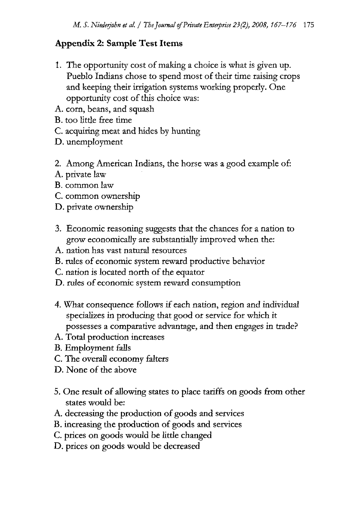## **Appendix 2: Sample Test Items**

- 1. The opportunity cost of making a choice is what is given up. Pueblo Indians chose to spend most of their time raising crops and keeping their irrigation systems working properly. One opportunity cost of this choice was:
- A. corn, beans, and squash
- B. too little free time
- C. acquiring meat and hides by hunting
- D. unemployment
- 2. Among American Indians, the horse was a good example of:
- A. private law
- B. common law
- C. common ownership
- D. private ownership
- 3. Economic reasoning suggests that the chances for a nation to grow economically are substantially improved when the:
- A. nation has vast natural resources
- B. rules of economic system reward productive behavior
- C. nation is located north of the equator
- D. rules of economic system reward consumption
- 4. What consequence follows if each nation, region and individual specializes in producing that good or service for which it possesses a comparative advantage, and then engages in trade?
- A. Total production increases
- B. Employment falls
- C. The overall economy falters
- D. None of the above
- 5. One result of allowing states to place tariffs on goods from other states would be:
- A. decreasing the production of goods and services
- B. increasing the production of goods and services
- C. prices on goods would be little changed
- D. prices on goods would be decreased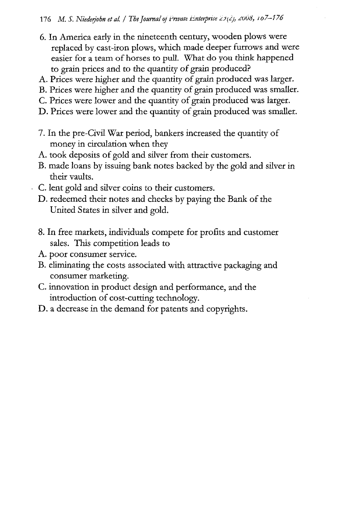- 6. In America early in the nineteenth century, wooden plows were replaced by cast-iron plows, which made deeper furrows and were easier for a team of horses to pull. What do you think happened to grain prices and to the quantity of grain produced?
- A. Prices were higher and the quantity of grain produced was larger.
- B. Prices were higher and the quantity of grain produced was smaller.
- C. Prices were lower and the quantity of grain produced was larger.
- D. Prices were lower and the quantity of grain produced was smaller.
- 7. In the pre-Civil War period, bankers increased the quantity of money in circulation when they
- A. took deposits of gold and silver from their customers.
- B. made loans by issuing bank notes backed by the gold and silver in their vaults.
- C. lent gold and silver coins to their customers.
- D. redeemed their notes and checks by paying the Bank of the United States in silver and gold.
- 8. In free markets, individuals compete for profits and customer sales. This competition leads to
- A. poor consumer service.
- B. eliminating the costs associated with attractive packaging and consumer marketing
- C. innovation in product design and performance, and the introduction of cost-cutting technology.
- D. a decrease in the demand for patents and copyrights.